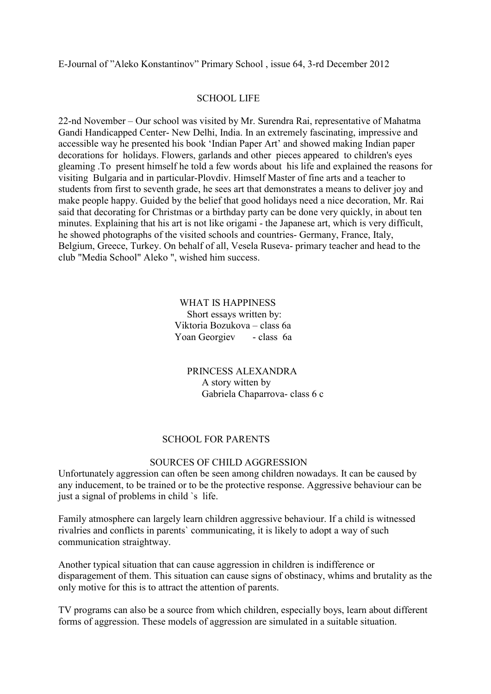E-Journal of "Aleko Konstantinov" Primary School , issue 64, 3-rd December 2012

### SCHOOL LIFE

22-nd November – Our school was visited by Mr. Surendra Rai, representative of Mahatma Gandi Handicapped Center- New Delhi, India. In an extremely fascinating, impressive and accessible way he presented his book 'Indian Paper Art' and showed making Indian paper decorations for holidays. Flowers, garlands and other pieces appeared to children's eyes gleaming .To present himself he told a few words about his life and explained the reasons for visiting Bulgaria and in particular-Plovdiv. Himself Master of fine arts and a teacher to students from first to seventh grade, he sees art that demonstrates a means to deliver joy and make people happy. Guided by the belief that good holidays need a nice decoration, Mr. Rai said that decorating for Christmas or a birthday party can be done very quickly, in about ten minutes. Explaining that his art is not like origami - the Japanese art, which is very difficult, he showed photographs of the visited schools and countries- Germany, France, Italy, Belgium, Greece, Turkey. On behalf of all, Vesela Ruseva- primary teacher and head to the club "Media School" Aleko ", wished him success.

## WHAT IS HAPPINESS Short essays written by: Viktoria Bozukova – class 6a Yoan Georgiev - class 6a

 PRINCESS ALEXANDRA A story witten by Gabriela Chaparrova- class 6 c

# SCHOOL FOR PARENTS

### SOURCES OF CHILD AGGRESSION

Unfortunately aggression can often be seen among children nowadays. It can be caused by any inducement, to be trained or to be the protective response. Aggressive behaviour can be just a signal of problems in child `s life.

Family atmosphere can largely learn children aggressive behaviour. If a child is witnessed rivalries and conflicts in parents` communicating, it is likely to adopt a way of such communication straightway.

Another typical situation that can cause aggression in children is indifference or disparagement of them. This situation can cause signs of obstinacy, whims and brutality as the only motive for this is to attract the attention of parents.

TV programs can also be a source from which children, especially boys, learn about different forms of aggression. These models of aggression are simulated in a suitable situation.